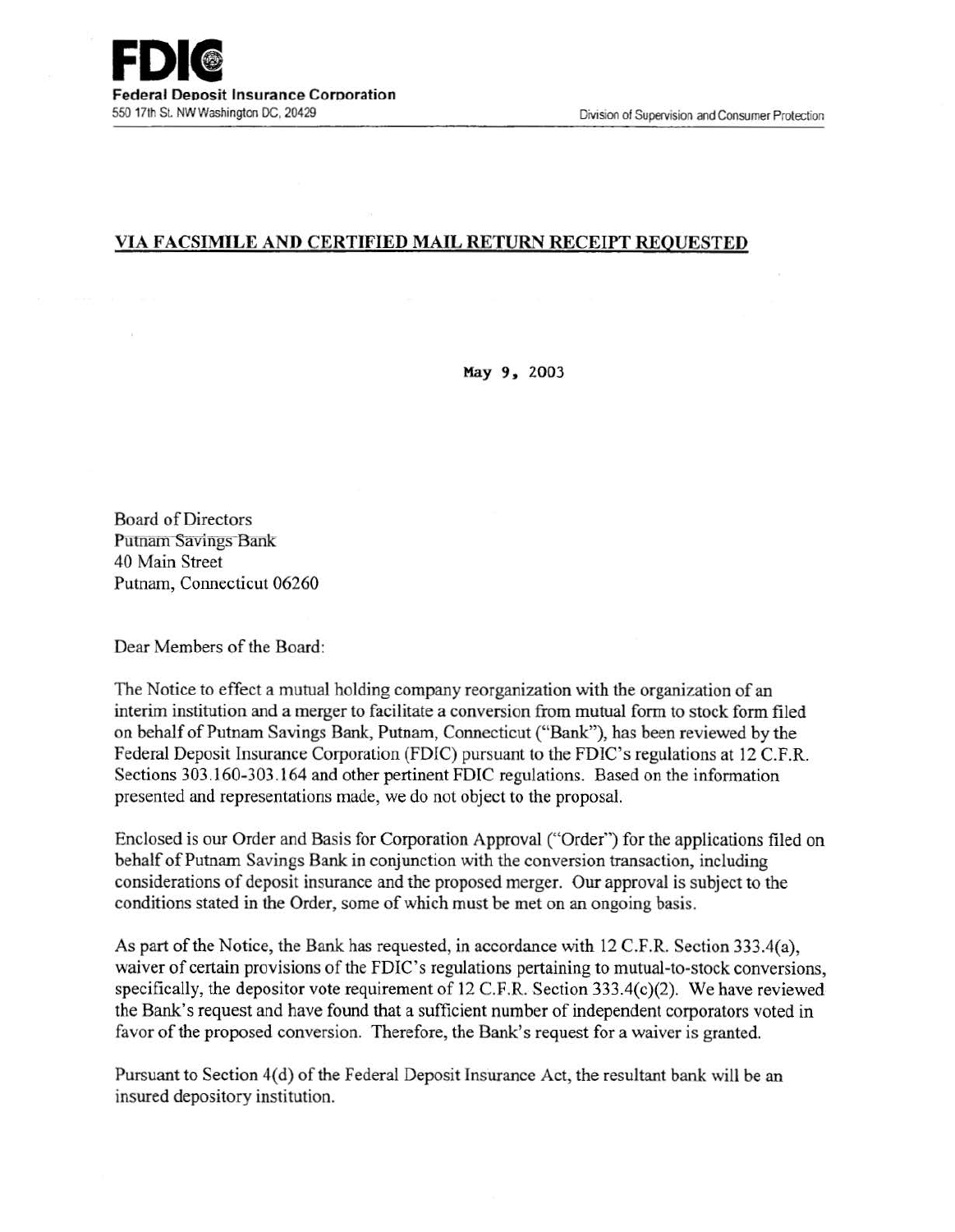## VIA FACSIMILE AND CERTIFIED MAIL RETURN RECEIPT REQUESTED

May 9. 2003

Board of Directors Putnam Savings Bank 40 Main Street Putnam, Connecticut 06260

Dear Members of the Board:

The Notice to effect a mutual holding company reorganization with the organization of an interim institution and a merger to facilitate a conversion from mutual form to stock form filed on behalf of Putnam Savings Bank, Putnam, Connecticut ("Bank"), has been reviewed by the Federal Deposit Insurance Corporation (FDIC) pursuant to the FDIC's regulations at 12 C.F.R. Sections 303.160-303 .164 and other pertinent FDIC regulations. Based on the information presented and representations made, we do not object to the proposal.

Enclosed is our Order and Basis for Corporation Approval ("Order") for the applications filed on behalf of Putnam Savings Bank in conjunction with the conversion transaction, including considerations of deposit insurance and the proposed merger. Our approval is subject to the conditions stated in the Order, some of which must be met on an ongoing basis.

As part of the Notice, the Bank has requested, in accordance with 12 C.F.R. Section 333.4(a), waiver of certain provisions of the FDIC's regulations pertaining to mutual-to-stock conversions, specifically, the depositor vote requirement of 12 C.F.R. Section 333.4(c)(2). We have reviewed the Bank's request and have found that a sufficient number of independent corporators voted in favor of the proposed conversion. Therefore, the Bank's request for a waiver is granted.

Pursuant to Section 4(d) of the Federal Deposit Insurance Act, the resultant bank will be an insured depository institution.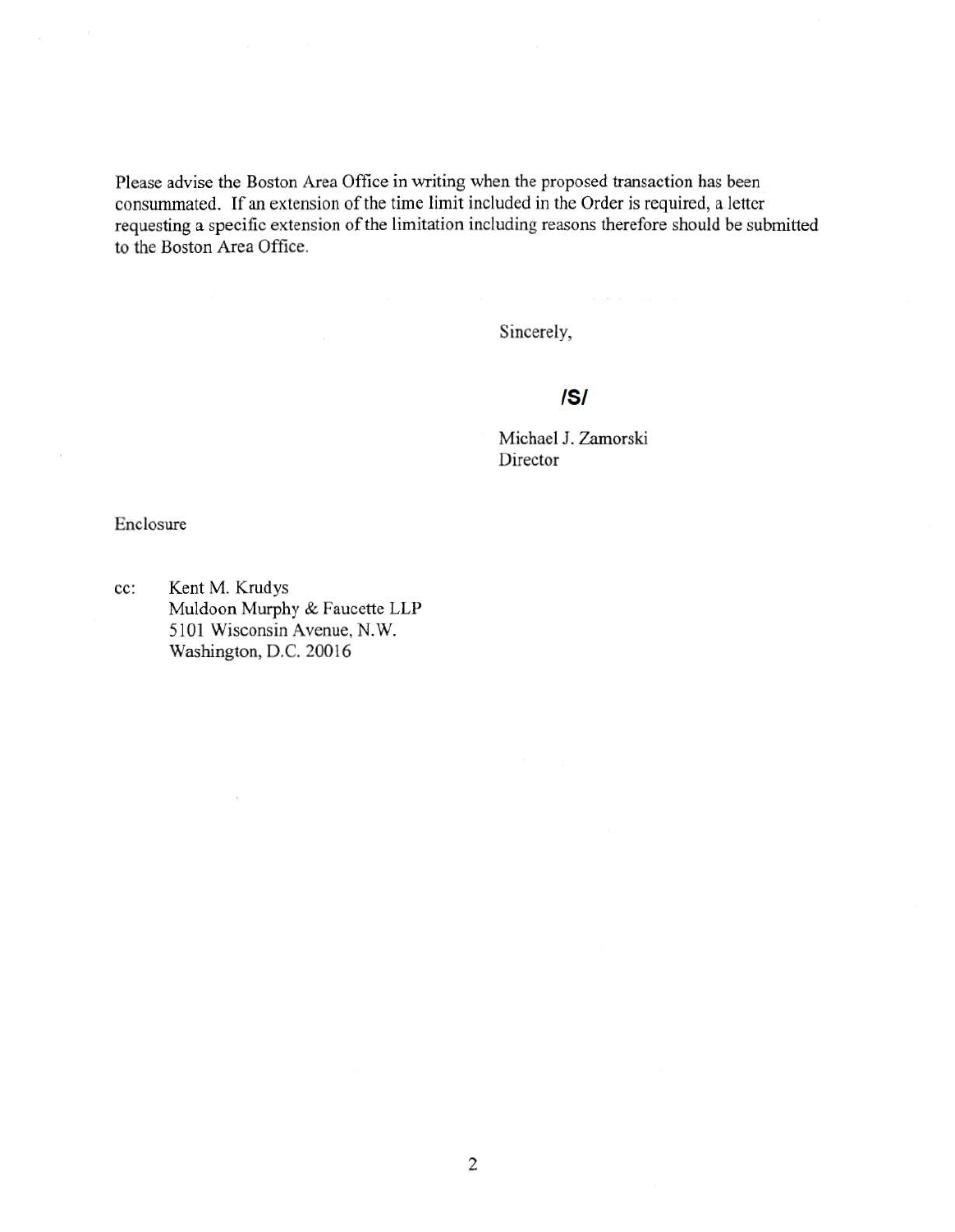Please advise the Boston Area Office in writing when the proposed transaction has been consummated. If an extension of the time limit included in the Order is required, a letter requesting a specific extension of the limitation including reasons therefore should be submitted to the Boston Area Office.

Sincerely,

# IS/

Michael J. Zamorski Director

Enclosure

cc: Kent M. Krudys Muldoon Murphy & Faucette LLP 5101 Wisconsin Avenue, N.W. Washington, D.C. 20016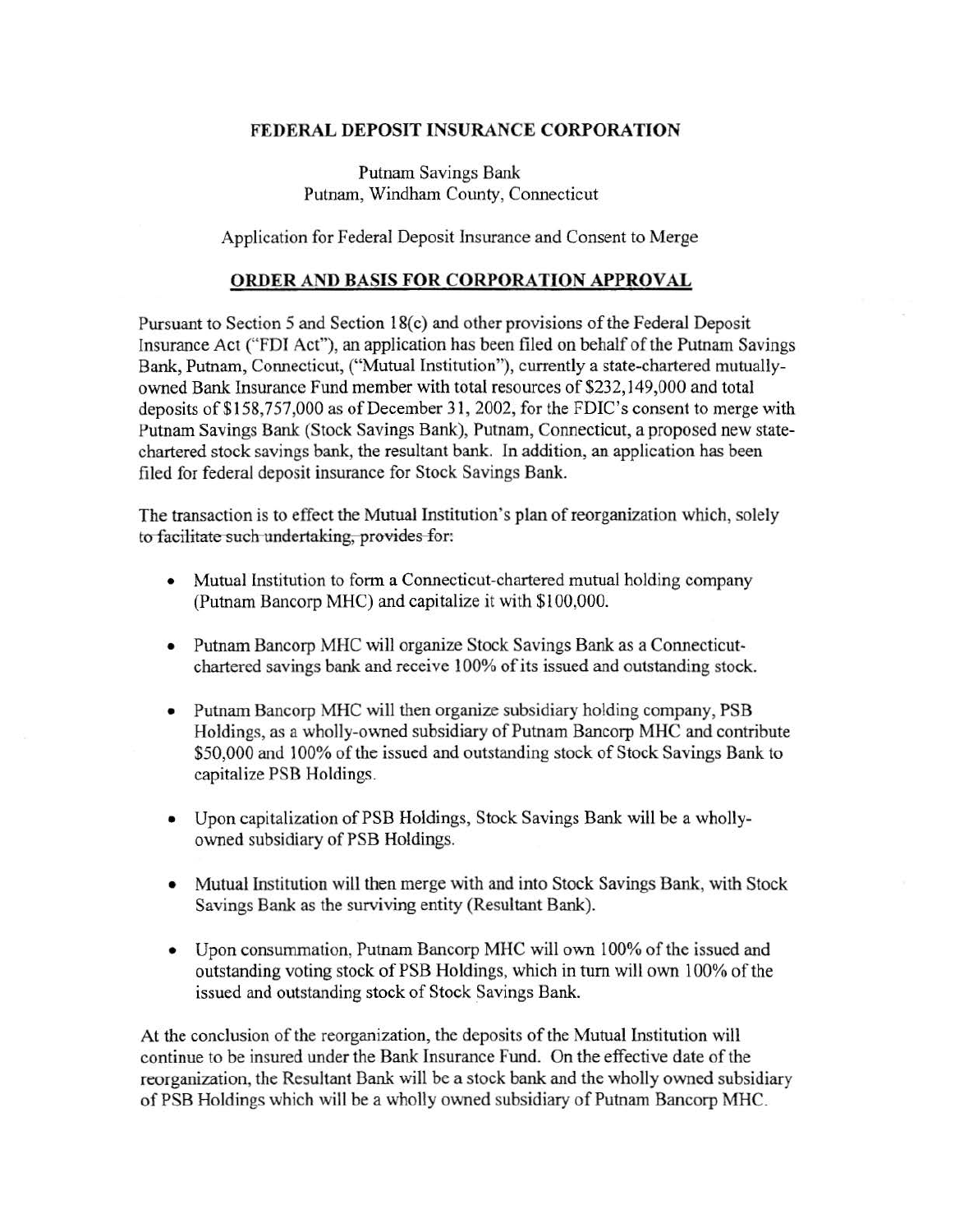### FEDERAL DEPOSIT INSURANCE CORPORATION

Putnam Savings Bank Putnam, Windham County, Connecticut

Application for Federal Deposit Insurance and Consent to Merge

#### ORDER AND BASIS FOR CORPORATION APPROVAL

Pursuant to Section 5 and Section 18(c) and other provisions of the Federal Deposit Insurance Act ("FDT Act"), an application has been filed on behalf of the Putnam Savings Bank, Putnam, Connecticut, ("Mutual Institution"), currently a state-chartered mutuallyowned Bank Insurance Fund member with total resources of \$232,149,000 and total deposits of\$158,757,000 as of December 31, 2002, for the FDIC's consent to merge with Putnam Savings Bank (Stock Savings Bank), Putnam, Connecticut, a proposed new statechartered stock savings bank, the resultant bank. In addition, an application has been filed for federal deposit insurance for Stock Savings Bank.

The transaction is to effect the Mutual Institution's plan of reorganization which, solely to-facilitate-such-undertaking, provides-for:

- Mutual Institution to form a Connecticut-chartered mutual holding company (Putnam Bancorp MHC) and capitalize it with \$100,000.
- Putnam Bancorp MHC will organize Stock Savings Bank as a Connecticutchartered savings bank and receive 100% of its issued and outstanding stock.
- Putnam Bancorp MHC will then organize subsidiary holding company, PSB Holdings, as a wholly-owned subsidiary of Putnam Bancorp MHC and contribute \$50,000 and 100% of the issued and outstanding stock of Stock Savings Bank to capitalize PSB Holdings.
- Upon capitalization of PSB Holdings, Stock Savings Bank will be a whollyowned subsidiary of PSB Holdings.
- Mutual Institution will then merge with and into Stock Savings Bank, with Stock Savings Bank as the surviving entity (Resultant Bank).
- Upon consummation, Putnam Bancorp MHC will own 100% of the issued and outstanding voting stock of PSB Holdings, which in turn will own 100% of the issued and outstanding stock of Stock Savings Bank.

At the conclusion of the reorganization, the deposits of the Mutual Institution will continue to be insured under the Bank Insurance Fund. On the effective date of the reorganization, the Resultant Bank will be a stock bank and the wholly owned subsidiary of PSB Holdings which will be a wholly owned subsidiary of Putnam Bancorp MHC.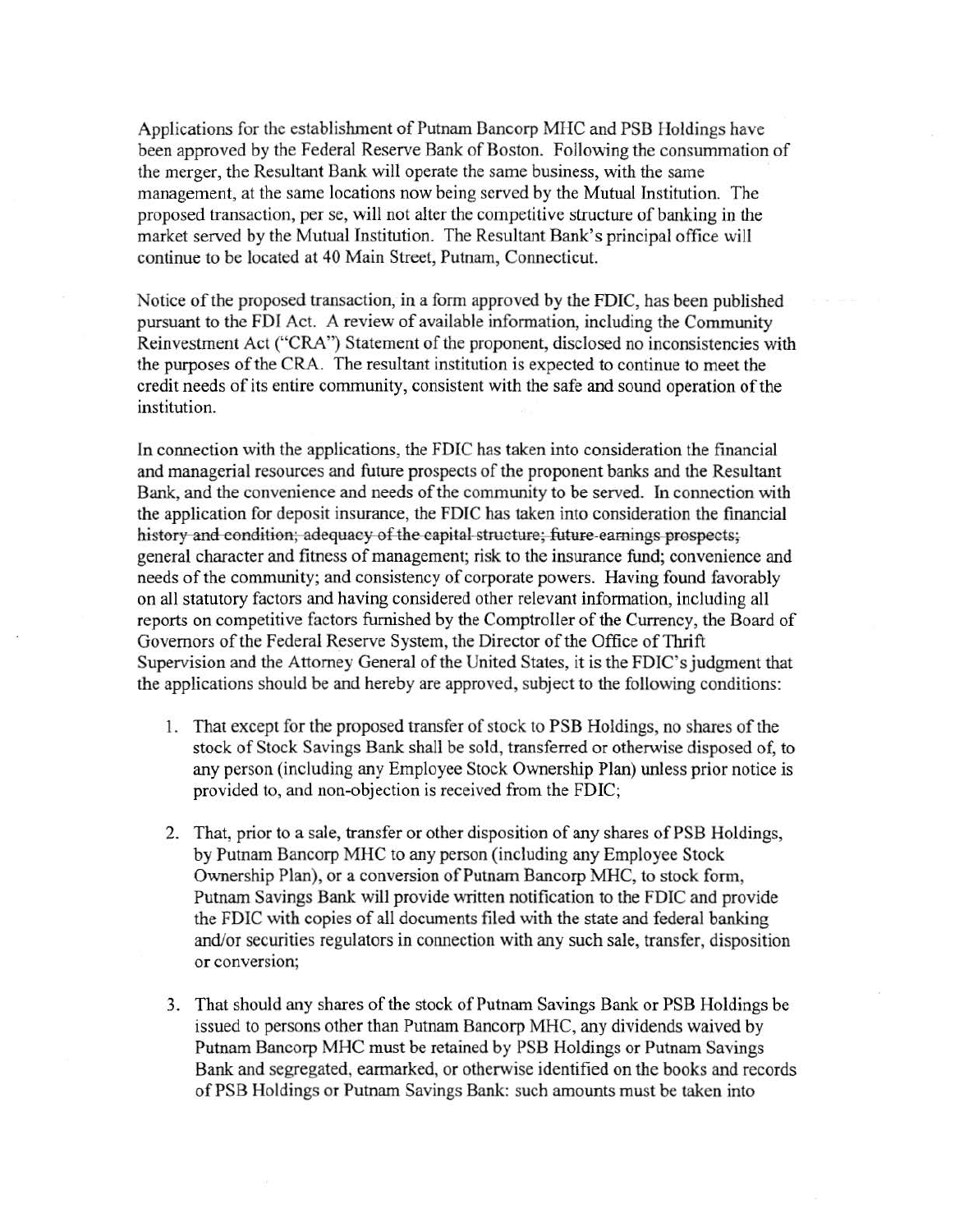Applications for the establishment of Putnam Bancorp MHC and PSB Holdings have been approved by the Federal Reserve Bank of Boston. Following the consummation of the merger, the Resultant Bank will operate the same business, with the same management, at the same locations now being served by the Mutual Institution. The proposed transaction, per se, will not alter the competitive structure of banking in the market served by the Mutual Institution. The Resultant Bank's principal office will continue to be located at 40 Main Street, Putnam, Connecticut.

Notice of the proposed transaction, in a form approved by the FDIC, has been published pursuant to the FDI Act. A review of available information, including the Community Reinvestment Act ("CRA") Statement of the proponent, disclosed no inconsistencies with the purposes of the CRA. The resultant institution is expected to continue to meet the credit needs of its entire community, consistent with the safe and sound operation of the institution.

In connection with the applications, the FDIC has taken into consideration the fmancial and managerial resources and future prospects of the proponent banks and the Resultant Bank, and the convenience and needs of the community to be served. In connection with the application for deposit insurance, the FDIC has taken into consideration the financial history-and-condition;-adequacy-of-the-capital-structure;-future-earnings prospects;general character and fitness of management; risk to the insurance fund; convenience and needs of the community; and consistency of corporate powers. Having found favorably on all statutory factors and having considered other relevant information, including all reports on competitive factors furnished by the Comptroller of the Currency, the Board of Governors of the Federal Reserve System, the Director of the Office of Thrift Supervision and the Attorney General of the United States, it is the FDIC's judgment that the applications should be and hereby are approved, subject to the following conditions:

- 1. That except for the proposed transfer of stock to PSB Holdings, no shares of the stock of Stock Savings Bank shall be sold, transferred or otherwise disposed of, to any person (including any Employee Stock Ownership Plan) unless prior notice is provided to, and non-objection is received from the FDIC;
- 2. That, prior to a sale, transfer or other disposition of any shares of PSB Holdings, by Putnam Bancorp MHC to any person (including any Employee Stock Ownership Plan), or a conversion of Putnam Bancorp MHC, to stock form, Putnam Savings Bank will provide written notification to the FDIC and provide the FDIC with copies of all documents filed with the state and federal banking and/or securities regulators in connection with any such sale, transfer, disposition or conversion;
- 3. That should any shares of the stock of Putnam Savings Bank or PSB Holdings be issued to persons other than Putnam Bancorp MHC, any dividends waived by Putnam Bancorp MHC must be retained by PSB Holdings or Putnam Savings Bank and segregated, earmarked, or otherwise identified on the books and records of PSB Holdings or Putnam Savings Bank: such amounts must be taken into